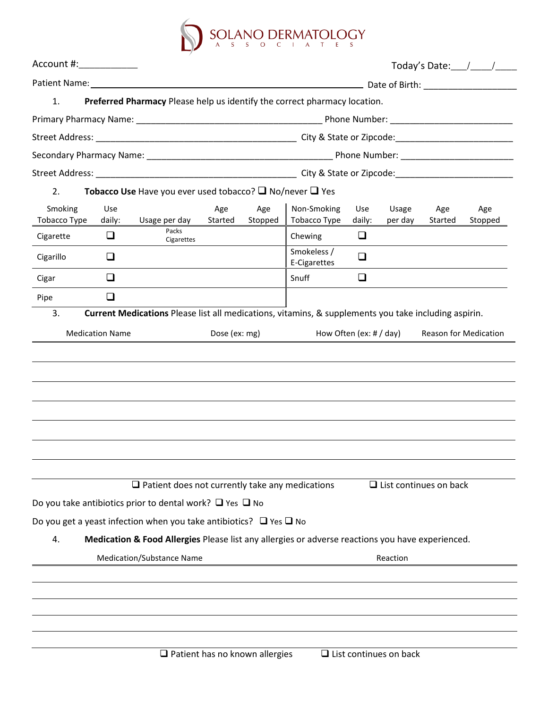

| Preferred Pharmacy Please help us identify the correct pharmacy location.<br><b>Tobacco Use</b> Have you ever used tobacco? $\Box$ No/never $\Box$ Yes<br>Non-Smoking<br>Tobacco Type<br>Chewing<br>Smokeless /<br>E-Cigarettes<br>Snuff | Use<br>daily:<br>$\Box$<br>$\Box$ | Usage<br>per day | Age<br>Started                         | Age<br>Stopped                                                                                                                                                                                                                                                                                      |
|------------------------------------------------------------------------------------------------------------------------------------------------------------------------------------------------------------------------------------------|-----------------------------------|------------------|----------------------------------------|-----------------------------------------------------------------------------------------------------------------------------------------------------------------------------------------------------------------------------------------------------------------------------------------------------|
|                                                                                                                                                                                                                                          |                                   |                  |                                        |                                                                                                                                                                                                                                                                                                     |
|                                                                                                                                                                                                                                          |                                   |                  |                                        |                                                                                                                                                                                                                                                                                                     |
|                                                                                                                                                                                                                                          |                                   |                  |                                        |                                                                                                                                                                                                                                                                                                     |
|                                                                                                                                                                                                                                          |                                   |                  |                                        |                                                                                                                                                                                                                                                                                                     |
|                                                                                                                                                                                                                                          |                                   |                  |                                        |                                                                                                                                                                                                                                                                                                     |
|                                                                                                                                                                                                                                          |                                   |                  |                                        |                                                                                                                                                                                                                                                                                                     |
|                                                                                                                                                                                                                                          |                                   |                  |                                        |                                                                                                                                                                                                                                                                                                     |
|                                                                                                                                                                                                                                          |                                   |                  |                                        |                                                                                                                                                                                                                                                                                                     |
|                                                                                                                                                                                                                                          |                                   |                  |                                        |                                                                                                                                                                                                                                                                                                     |
|                                                                                                                                                                                                                                          |                                   |                  |                                        |                                                                                                                                                                                                                                                                                                     |
|                                                                                                                                                                                                                                          | $\Box$                            |                  |                                        |                                                                                                                                                                                                                                                                                                     |
|                                                                                                                                                                                                                                          |                                   |                  |                                        |                                                                                                                                                                                                                                                                                                     |
| $\Box$ Patient does not currently take any medications<br>Do you get a yeast infection when you take antibiotics? $\Box$ Yes $\Box$ No                                                                                                   |                                   |                  |                                        |                                                                                                                                                                                                                                                                                                     |
|                                                                                                                                                                                                                                          |                                   |                  |                                        |                                                                                                                                                                                                                                                                                                     |
| $\Box$ Patient has no known allergies                                                                                                                                                                                                    |                                   |                  |                                        |                                                                                                                                                                                                                                                                                                     |
|                                                                                                                                                                                                                                          |                                   |                  | How Often (ex: $\#$ / day)<br>Reaction | Current Medications Please list all medications, vitamins, & supplements you take including aspirin.<br>Reason for Medication<br>$\Box$ List continues on back<br>Medication & Food Allergies Please list any allergies or adverse reactions you have experienced.<br>$\Box$ List continues on back |